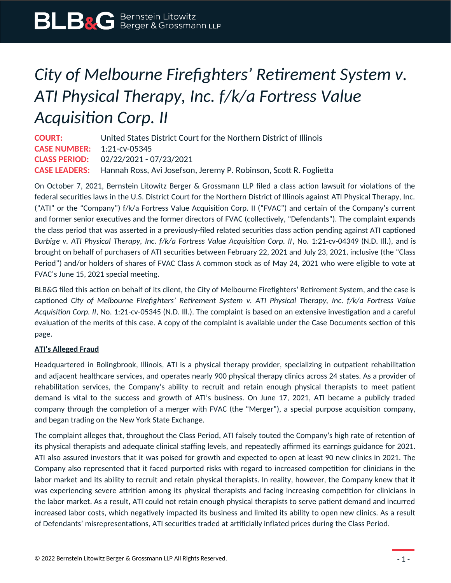## *City of Melbourne Firefighters' Retirement System v. ATI Physical Therapy, Inc. f/k/a Fortress Value Acquisition Corp. II*

**COURT:** United States District Court for the Northern District of Illinois **CASE NUMBER:** 1:21-cv-05345 **CLASS PERIOD:** 02/22/2021 - 07/23/2021 **CASE LEADERS:** Hannah Ross, Avi Josefson, Jeremy P. Robinson, Scott R. Foglietta

On October 7, 2021, Bernstein Litowitz Berger & Grossmann LLP filed a class action lawsuit for violations of the federal securities laws in the U.S. District Court for the Northern District of Illinois against ATI Physical Therapy, Inc. ("ATI" or the "Company") f/k/a Fortress Value Acquisition Corp. II ("FVAC") and certain of the Company's current and former senior executives and the former directors of FVAC (collectively, "Defendants"). The complaint expands the class period that was asserted in a previously-filed related securities class action pending against ATI captioned *Burbige v. ATI Physical Therapy, Inc. f/k/a Fortress Value Acquisition Corp. II, No. 1:21-cv-04349 (N.D. III.), and is* brought on behalf of purchasers of ATI securities between February 22, 2021 and July 23, 2021, inclusive (the "Class Period") and/or holders of shares of FVAC Class A common stock as of May 24, 2021 who were eligible to vote at FVAC's June 15, 2021 special meeting.

BLB&G filed this action on behalf of its client, the City of Melbourne Firefighters' Retirement System, and the case is captioned *City of Melbourne Firefighters' Retirement System v. ATI Physical Therapy, Inc. f/k/a Fortress Value Acquisition Corp. II*, No. 1:21-cv-05345 (N.D. Ill.). The complaint is based on an extensive investigation and a careful evaluation of the merits of this case. A copy of the complaint is available under the Case Documents section of this page.

## **ATI's Alleged Fraud**

Headquartered in Bolingbrook, Illinois, ATI is a physical therapy provider, specializing in outpatient rehabilitation and adjacent healthcare services, and operates nearly 900 physical therapy clinics across 24 states. As a provider of rehabilitation services, the Company's ability to recruit and retain enough physical therapists to meet patient demand is vital to the success and growth of ATI's business. On June 17, 2021, ATI became a publicly traded company through the completion of a merger with FVAC (the "Merger"), a special purpose acquisition company, and began trading on the New York State Exchange.

The complaint alleges that, throughout the Class Period, ATI falsely touted the Company's high rate of retention of its physical therapists and adequate clinical staffing levels, and repeatedly affirmed its earnings guidance for 2021. ATI also assured investors that it was poised for growth and expected to open at least 90 new clinics in 2021. The Company also represented that it faced purported risks with regard to increased competition for clinicians in the labor market and its ability to recruit and retain physical therapists. In reality, however, the Company knew that it was experiencing severe attrition among its physical therapists and facing increasing competition for clinicians in the labor market. As a result, ATI could not retain enough physical therapists to serve patient demand and incurred increased labor costs, which negatively impacted its business and limited its ability to open new clinics. As a result of Defendants' misrepresentations, ATI securities traded at artificially inflated prices during the Class Period.